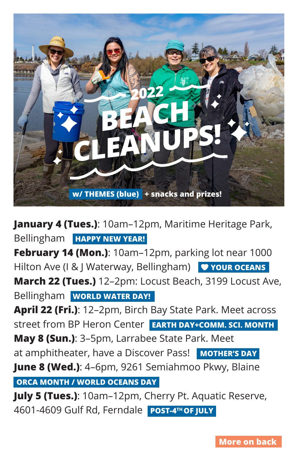

**January 4 (Tues.)**: 10am–12pm, Maritime Heritage Park, Bellingham **HAPPY NEW YEAR!**

**February 14 (Mon.)**: 10am–12pm, parking lot near 1000 Hilton Ave (I & J Waterway, Bellingham) **V YOUR OCEANS March 22 (Tues.)** 12–2pm: Locust Beach, 3199 Locust Ave, Bellingham **WORLD WATER DAY!**

**April 22 (Fri.)**: 12–2pm, Birch Bay State Park. Meet across street from BP Heron Center **EARTH DAY+COMM. SCI. MONTH May 8 (Sun.)**: 3–5pm, Larrabee State Park. Meet

at amphitheater, have a Discover Pass! MOTHER'S DAY

**June 8 (Wed.)**: 4–6pm, 9261 Semiahmoo Pkwy, Blaine

**ORCA MONTH / WORLD OCEANS DAY**

**July 5 (Tues.)**: 10am–12pm, Cherry Pt. Aquatic Reserve, 4601-4609 Gulf Rd, Ferndale **POST-4TH OF JULY**